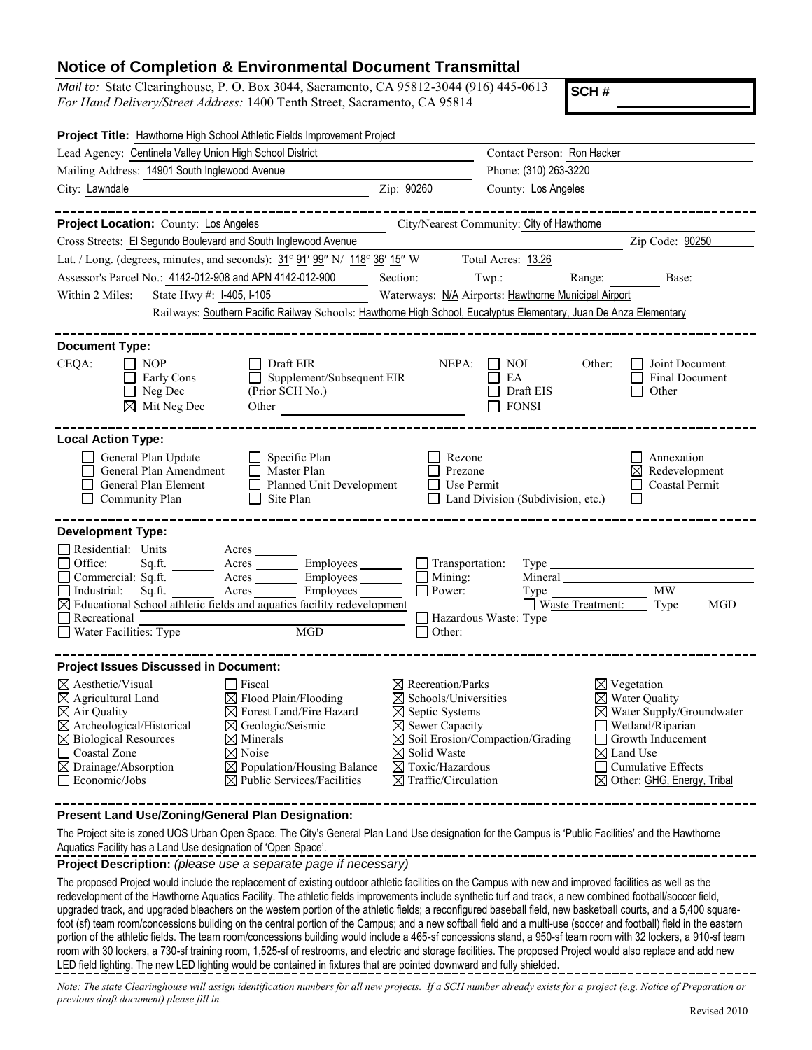## **Notice of Completion & Environmental Document Transmittal**

*Mail to:* State Clearinghouse, P. O. Box 3044, Sacramento, CA 95812-3044 (916) 445-0613 *For Hand Delivery/Street Address:* 1400 Tenth Street, Sacramento, CA 95814

**SCH #**

| Project Title: Hawthorne High School Athletic Fields Improvement Project                                                                                                                                                                                                                                                                                                                                                                                                                                       |                                                                                                                                                                                                                           |                                                     |                                                |                                                                                                                                                                                   |
|----------------------------------------------------------------------------------------------------------------------------------------------------------------------------------------------------------------------------------------------------------------------------------------------------------------------------------------------------------------------------------------------------------------------------------------------------------------------------------------------------------------|---------------------------------------------------------------------------------------------------------------------------------------------------------------------------------------------------------------------------|-----------------------------------------------------|------------------------------------------------|-----------------------------------------------------------------------------------------------------------------------------------------------------------------------------------|
| Lead Agency: Centinela Valley Union High School District                                                                                                                                                                                                                                                                                                                                                                                                                                                       |                                                                                                                                                                                                                           | Contact Person: Ron Hacker<br>Phone: (310) 263-3220 |                                                |                                                                                                                                                                                   |
| Mailing Address: 14901 South Inglewood Avenue                                                                                                                                                                                                                                                                                                                                                                                                                                                                  |                                                                                                                                                                                                                           |                                                     |                                                |                                                                                                                                                                                   |
| City: Lawndale                                                                                                                                                                                                                                                                                                                                                                                                                                                                                                 | Zip: 90260                                                                                                                                                                                                                | County: Los Angeles                                 |                                                |                                                                                                                                                                                   |
|                                                                                                                                                                                                                                                                                                                                                                                                                                                                                                                |                                                                                                                                                                                                                           |                                                     |                                                |                                                                                                                                                                                   |
| Project Location: County: Los Angeles                                                                                                                                                                                                                                                                                                                                                                                                                                                                          |                                                                                                                                                                                                                           | City/Nearest Community: City of Hawthorne           |                                                |                                                                                                                                                                                   |
| Cross Streets: El Segundo Boulevard and South Inglewood Avenue                                                                                                                                                                                                                                                                                                                                                                                                                                                 |                                                                                                                                                                                                                           |                                                     |                                                | Zip Code: 90250                                                                                                                                                                   |
| Lat. / Long. (degrees, minutes, and seconds): $31^{\circ}$ $91'$ $99''$ N/ $118^{\circ}$ $36'$ $15''$ W Total Acres: $13.26$                                                                                                                                                                                                                                                                                                                                                                                   |                                                                                                                                                                                                                           |                                                     |                                                |                                                                                                                                                                                   |
| Assessor's Parcel No.: 4142-012-908 and APN 4142-012-900                                                                                                                                                                                                                                                                                                                                                                                                                                                       | Section:                                                                                                                                                                                                                  | Twp.:                                               | Range:                                         | Base:                                                                                                                                                                             |
| Within 2 Miles:<br>State Hwy #: I-405, I-105                                                                                                                                                                                                                                                                                                                                                                                                                                                                   | Waterways: N/A Airports: Hawthorne Municipal Airport                                                                                                                                                                      |                                                     |                                                |                                                                                                                                                                                   |
| Railways: Southern Pacific Railway Schools: Hawthorne High School, Eucalyptus Elementary, Juan De Anza Elementary                                                                                                                                                                                                                                                                                                                                                                                              |                                                                                                                                                                                                                           |                                                     |                                                |                                                                                                                                                                                   |
| <b>Document Type:</b>                                                                                                                                                                                                                                                                                                                                                                                                                                                                                          |                                                                                                                                                                                                                           |                                                     |                                                |                                                                                                                                                                                   |
| Draft EIR<br>CEQA:<br>NOP<br>$\Box$ Supplement/Subsequent EIR<br>Early Cons<br>Neg Dec<br>$\boxtimes$ Mit Neg Dec<br>Other                                                                                                                                                                                                                                                                                                                                                                                     | NEPA:<br>(Prior SCH No.)                                                                                                                                                                                                  | NOI<br>EA<br>Draft EIS<br><b>FONSI</b>              | Other:                                         | Joint Document<br>Final Document<br>Other                                                                                                                                         |
| <b>Local Action Type:</b><br>General Plan Update<br>$\Box$ Specific Plan<br>General Plan Amendment<br>Master Plan<br>General Plan Element<br>Planned Unit Development<br>Community Plan<br>Site Plan                                                                                                                                                                                                                                                                                                           | Rezone<br>Prezone<br>Use Permit                                                                                                                                                                                           | Land Division (Subdivision, etc.)                   |                                                | Annexation<br>Redevelopment<br>⋈<br><b>Coastal Permit</b>                                                                                                                         |
| <b>Development Type:</b>                                                                                                                                                                                                                                                                                                                                                                                                                                                                                       |                                                                                                                                                                                                                           |                                                     |                                                |                                                                                                                                                                                   |
| Residential: Units _______ Acres ______                                                                                                                                                                                                                                                                                                                                                                                                                                                                        |                                                                                                                                                                                                                           |                                                     |                                                |                                                                                                                                                                                   |
| Office:<br>Acres Employees<br>Sq.ft.<br>Acres<br>Commercial: Sq.ft.                                                                                                                                                                                                                                                                                                                                                                                                                                            | $\Box$ Transportation:<br>Employees<br>Mining:                                                                                                                                                                            |                                                     |                                                |                                                                                                                                                                                   |
| Employees<br>Sq.ft.<br>Acres<br>Industrial:                                                                                                                                                                                                                                                                                                                                                                                                                                                                    | $\Box$ Power:                                                                                                                                                                                                             |                                                     | Type                                           | MW                                                                                                                                                                                |
| $\boxtimes$ Educational School athletic fields and aquatics facility redevelopment                                                                                                                                                                                                                                                                                                                                                                                                                             |                                                                                                                                                                                                                           |                                                     | $\Box$ Waste Treatment:                        | <b>MGD</b><br>Type                                                                                                                                                                |
| Recreational<br>MGD<br>Water Facilities: Type                                                                                                                                                                                                                                                                                                                                                                                                                                                                  | $\Box$ Other:                                                                                                                                                                                                             |                                                     |                                                |                                                                                                                                                                                   |
| <b>Project Issues Discussed in Document:</b>                                                                                                                                                                                                                                                                                                                                                                                                                                                                   |                                                                                                                                                                                                                           |                                                     |                                                |                                                                                                                                                                                   |
| $\boxtimes$ Aesthetic/Visual<br>$\Box$ Fiscal<br>$\boxtimes$ Flood Plain/Flooding<br>$\boxtimes$ Agricultural Land<br>$\boxtimes$ Forest Land/Fire Hazard<br>$\boxtimes$ Air Quality<br>$\boxtimes$ Archeological/Historical<br>$\boxtimes$ Geologic/Seismic<br>$\boxtimes$ Biological Resources<br>$\boxtimes$ Minerals<br>$\boxtimes$ Noise<br>□ Coastal Zone<br>$\boxtimes$ Population/Housing Balance<br>$\boxtimes$ Drainage/Absorption<br>$\boxtimes$ Public Services/Facilities<br>$\Box$ Economic/Jobs | $\boxtimes$ Recreation/Parks<br>$\boxtimes$ Schools/Universities<br>$\boxtimes$ Septic Systems<br>$\boxtimes$ Sewer Capacity<br>$\boxtimes$ Solid Waste<br>$\boxtimes$ Toxic/Hazardous<br>$\boxtimes$ Traffic/Circulation | $\boxtimes$ Soil Erosion/Compaction/Grading         | $\boxtimes$ Vegetation<br>$\boxtimes$ Land Use | $\boxtimes$ Water Quality<br>$\boxtimes$ Water Supply/Groundwater<br>Wetland/Riparian<br>Growth Inducement<br><b>Cumulative Effects</b><br>$\boxtimes$ Other: GHG, Energy, Tribal |
| Present Land Use/Zoning/General Plan Designation:<br>The Project site is zoned UOS Urban Open Space. The City's General Plan Land Use designation for the Campus is 'Public Facilities' and the Hawthorne                                                                                                                                                                                                                                                                                                      |                                                                                                                                                                                                                           |                                                     |                                                |                                                                                                                                                                                   |
|                                                                                                                                                                                                                                                                                                                                                                                                                                                                                                                |                                                                                                                                                                                                                           |                                                     |                                                |                                                                                                                                                                                   |

Aquatics Facility has a Land Use designation of 'Open Space'.

**Project Description:** *(please use a separate page if necessary)*

The proposed Project would include the replacement of existing outdoor athletic facilities on the Campus with new and improved facilities as well as the redevelopment of the Hawthorne Aquatics Facility. The athletic fields improvements include synthetic turf and track, a new combined football/soccer field, upgraded track, and upgraded bleachers on the western portion of the athletic fields; a reconfigured baseball field, new basketball courts, and a 5,400 squarefoot (sf) team room/concessions building on the central portion of the Campus; and a new softball field and a multi-use (soccer and football) field in the eastern portion of the athletic fields. The team room/concessions building would include a 465-sf concessions stand, a 950-sf team room with 32 lockers, a 910-sf team room with 30 lockers, a 730-sf training room, 1,525-sf of restrooms, and electric and storage facilities. The proposed Project would also replace and add new LED field lighting. The new LED lighting would be contained in fixtures that are pointed downward and fully shielded.

*Note: The state Clearinghouse will assign identification numbers for all new projects. If a SCH number already exists for a project (e.g. Notice of Preparation or previous draft document) please fill in.*